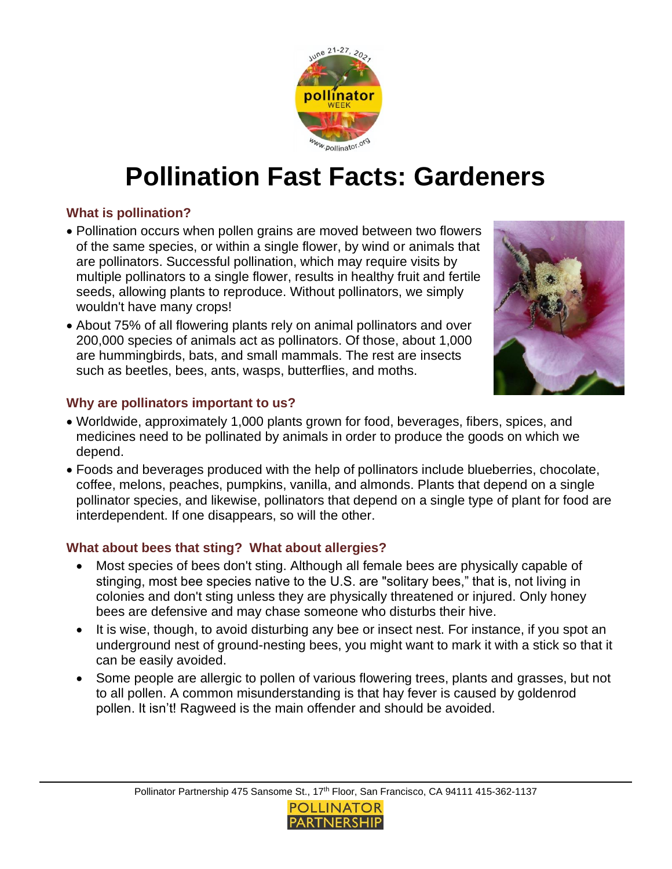

# **Pollination Fast Facts: Gardeners**

### **What is pollination?**

- Pollination occurs when pollen grains are moved between two flowers of the same species, or within a single flower, by wind or animals that are pollinators. Successful pollination, which may require visits by multiple pollinators to a single flower, results in healthy fruit and fertile seeds, allowing plants to reproduce. Without pollinators, we simply wouldn't have many crops!
- About 75% of all flowering plants rely on animal pollinators and over 200,000 species of animals act as pollinators. Of those, about 1,000 are hummingbirds, bats, and small mammals. The rest are insects such as beetles, bees, ants, wasps, butterflies, and moths.



#### **Why are pollinators important to us?**

- Worldwide, approximately 1,000 plants grown for food, beverages, fibers, spices, and medicines need to be pollinated by animals in order to produce the goods on which we depend.
- Foods and beverages produced with the help of pollinators include blueberries, chocolate, coffee, melons, peaches, pumpkins, vanilla, and almonds. Plants that depend on a single pollinator species, and likewise, pollinators that depend on a single type of plant for food are interdependent. If one disappears, so will the other.

#### **What about bees that sting? What about allergies?**

- Most species of bees don't sting. Although all female bees are physically capable of stinging, most bee species native to the U.S. are "solitary bees," that is, not living in colonies and don't sting unless they are physically threatened or injured. Only honey bees are defensive and may chase someone who disturbs their hive.
- It is wise, though, to avoid disturbing any bee or insect nest. For instance, if you spot an underground nest of ground-nesting bees, you might want to mark it with a stick so that it can be easily avoided.
- Some people are allergic to pollen of various flowering trees, plants and grasses, but not to all pollen. A common misunderstanding is that hay fever is caused by goldenrod pollen. It isn't! Ragweed is the main offender and should be avoided.